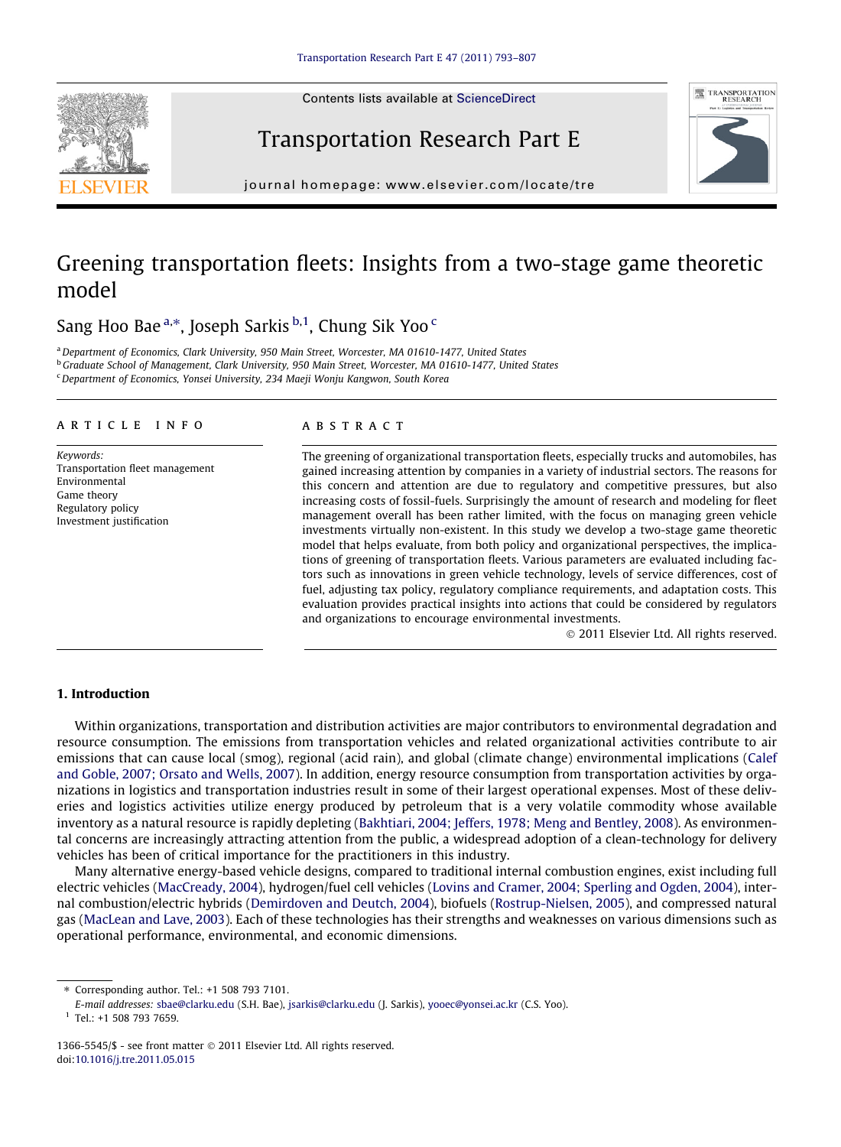Contents lists available at [ScienceDirect](http://www.sciencedirect.com/science/journal/13665545)





Transportation Research Part E

journal homepage: [www.elsevier.com/locate/tre](http://www.elsevier.com/locate/tre)

# Greening transportation fleets: Insights from a two-stage game theoretic model

Sang Hoo Bae <sup>a,</sup>\*, Joseph Sarkis <sup>b,1</sup>, Chung Sik Yoo <sup>c</sup>

a Department of Economics, Clark University, 950 Main Street, Worcester, MA 01610-1477, United States <sup>b</sup> Graduate School of Management, Clark University, 950 Main Street, Worcester, MA 01610-1477, United States

 $c$ Department of Economics, Yonsei University, 234 Maeji Wonju Kangwon, South Korea

## article info

Keywords: Transportation fleet management Environmental Game theory Regulatory policy Investment justification

#### ABSTRACT

The greening of organizational transportation fleets, especially trucks and automobiles, has gained increasing attention by companies in a variety of industrial sectors. The reasons for this concern and attention are due to regulatory and competitive pressures, but also increasing costs of fossil-fuels. Surprisingly the amount of research and modeling for fleet management overall has been rather limited, with the focus on managing green vehicle investments virtually non-existent. In this study we develop a two-stage game theoretic model that helps evaluate, from both policy and organizational perspectives, the implications of greening of transportation fleets. Various parameters are evaluated including factors such as innovations in green vehicle technology, levels of service differences, cost of fuel, adjusting tax policy, regulatory compliance requirements, and adaptation costs. This evaluation provides practical insights into actions that could be considered by regulators and organizations to encourage environmental investments.

- 2011 Elsevier Ltd. All rights reserved.

### 1. Introduction

Within organizations, transportation and distribution activities are major contributors to environmental degradation and resource consumption. The emissions from transportation vehicles and related organizational activities contribute to air emissions that can cause local (smog), regional (acid rain), and global (climate change) environmental implications [\(Calef](#page--1-0) [and Goble, 2007; Orsato and Wells, 2007](#page--1-0)). In addition, energy resource consumption from transportation activities by organizations in logistics and transportation industries result in some of their largest operational expenses. Most of these deliveries and logistics activities utilize energy produced by petroleum that is a very volatile commodity whose available inventory as a natural resource is rapidly depleting [\(Bakhtiari, 2004; Jeffers, 1978; Meng and Bentley, 2008](#page--1-0)). As environmental concerns are increasingly attracting attention from the public, a widespread adoption of a clean-technology for delivery vehicles has been of critical importance for the practitioners in this industry.

Many alternative energy-based vehicle designs, compared to traditional internal combustion engines, exist including full electric vehicles [\(MacCready, 2004](#page--1-0)), hydrogen/fuel cell vehicles [\(Lovins and Cramer, 2004; Sperling and Ogden, 2004\)](#page--1-0), internal combustion/electric hybrids [\(Demirdoven and Deutch, 2004](#page--1-0)), biofuels ([Rostrup-Nielsen, 2005\)](#page--1-0), and compressed natural gas [\(MacLean and Lave, 2003\)](#page--1-0). Each of these technologies has their strengths and weaknesses on various dimensions such as operational performance, environmental, and economic dimensions.

<sup>⇑</sup> Corresponding author. Tel.: +1 508 793 7101.

E-mail addresses: [sbae@clarku.edu](mailto:sbae@clarku.edu) (S.H. Bae), [jsarkis@clarku.edu](mailto:jsarkis@clarku.edu) (J. Sarkis), [yooec@yonsei.ac.kr](mailto:yooec@yonsei.ac.kr) (C.S. Yoo).  $1$  Tel.: +1 508 793 7659.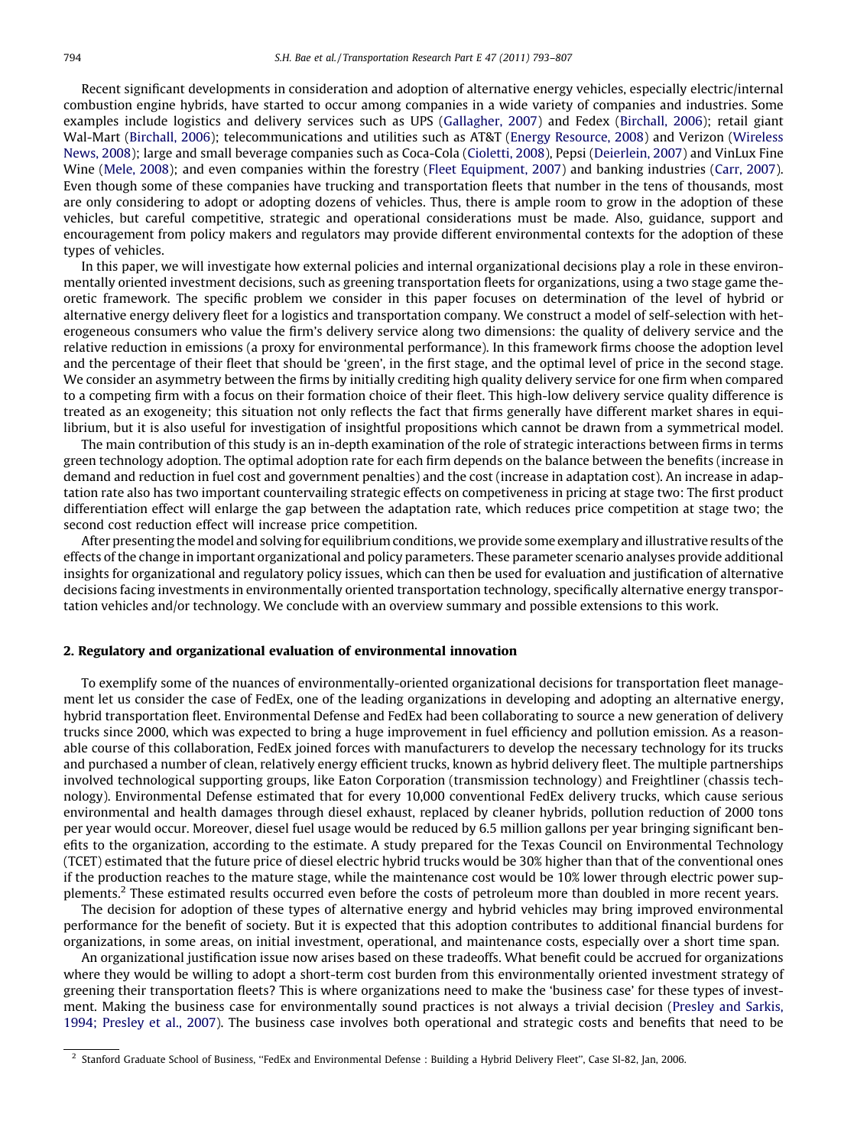Recent significant developments in consideration and adoption of alternative energy vehicles, especially electric/internal combustion engine hybrids, have started to occur among companies in a wide variety of companies and industries. Some examples include logistics and delivery services such as UPS [\(Gallagher, 2007](#page--1-0)) and Fedex ([Birchall, 2006\)](#page--1-0); retail giant Wal-Mart ([Birchall, 2006](#page--1-0)); telecommunications and utilities such as AT&T ([Energy Resource, 2008](#page--1-0)) and Verizon ([Wireless](#page--1-0) [News, 2008\)](#page--1-0); large and small beverage companies such as Coca-Cola ([Cioletti, 2008\)](#page--1-0), Pepsi ([Deierlein, 2007\)](#page--1-0) and VinLux Fine Wine [\(Mele, 2008](#page--1-0)); and even companies within the forestry [\(Fleet Equipment, 2007\)](#page--1-0) and banking industries [\(Carr, 2007](#page--1-0)). Even though some of these companies have trucking and transportation fleets that number in the tens of thousands, most are only considering to adopt or adopting dozens of vehicles. Thus, there is ample room to grow in the adoption of these vehicles, but careful competitive, strategic and operational considerations must be made. Also, guidance, support and encouragement from policy makers and regulators may provide different environmental contexts for the adoption of these types of vehicles.

In this paper, we will investigate how external policies and internal organizational decisions play a role in these environmentally oriented investment decisions, such as greening transportation fleets for organizations, using a two stage game theoretic framework. The specific problem we consider in this paper focuses on determination of the level of hybrid or alternative energy delivery fleet for a logistics and transportation company. We construct a model of self-selection with heterogeneous consumers who value the firm's delivery service along two dimensions: the quality of delivery service and the relative reduction in emissions (a proxy for environmental performance). In this framework firms choose the adoption level and the percentage of their fleet that should be 'green', in the first stage, and the optimal level of price in the second stage. We consider an asymmetry between the firms by initially crediting high quality delivery service for one firm when compared to a competing firm with a focus on their formation choice of their fleet. This high-low delivery service quality difference is treated as an exogeneity; this situation not only reflects the fact that firms generally have different market shares in equilibrium, but it is also useful for investigation of insightful propositions which cannot be drawn from a symmetrical model.

The main contribution of this study is an in-depth examination of the role of strategic interactions between firms in terms green technology adoption. The optimal adoption rate for each firm depends on the balance between the benefits (increase in demand and reduction in fuel cost and government penalties) and the cost (increase in adaptation cost). An increase in adaptation rate also has two important countervailing strategic effects on competiveness in pricing at stage two: The first product differentiation effect will enlarge the gap between the adaptation rate, which reduces price competition at stage two; the second cost reduction effect will increase price competition.

After presenting the model and solving for equilibrium conditions, we provide some exemplary and illustrative results of the effects of the change in important organizational and policy parameters. These parameter scenario analyses provide additional insights for organizational and regulatory policy issues, which can then be used for evaluation and justification of alternative decisions facing investments in environmentally oriented transportation technology, specifically alternative energy transportation vehicles and/or technology. We conclude with an overview summary and possible extensions to this work.

#### 2. Regulatory and organizational evaluation of environmental innovation

To exemplify some of the nuances of environmentally-oriented organizational decisions for transportation fleet management let us consider the case of FedEx, one of the leading organizations in developing and adopting an alternative energy, hybrid transportation fleet. Environmental Defense and FedEx had been collaborating to source a new generation of delivery trucks since 2000, which was expected to bring a huge improvement in fuel efficiency and pollution emission. As a reasonable course of this collaboration, FedEx joined forces with manufacturers to develop the necessary technology for its trucks and purchased a number of clean, relatively energy efficient trucks, known as hybrid delivery fleet. The multiple partnerships involved technological supporting groups, like Eaton Corporation (transmission technology) and Freightliner (chassis technology). Environmental Defense estimated that for every 10,000 conventional FedEx delivery trucks, which cause serious environmental and health damages through diesel exhaust, replaced by cleaner hybrids, pollution reduction of 2000 tons per year would occur. Moreover, diesel fuel usage would be reduced by 6.5 million gallons per year bringing significant benefits to the organization, according to the estimate. A study prepared for the Texas Council on Environmental Technology (TCET) estimated that the future price of diesel electric hybrid trucks would be 30% higher than that of the conventional ones if the production reaches to the mature stage, while the maintenance cost would be 10% lower through electric power supplements.2 These estimated results occurred even before the costs of petroleum more than doubled in more recent years.

The decision for adoption of these types of alternative energy and hybrid vehicles may bring improved environmental performance for the benefit of society. But it is expected that this adoption contributes to additional financial burdens for organizations, in some areas, on initial investment, operational, and maintenance costs, especially over a short time span.

An organizational justification issue now arises based on these tradeoffs. What benefit could be accrued for organizations where they would be willing to adopt a short-term cost burden from this environmentally oriented investment strategy of greening their transportation fleets? This is where organizations need to make the 'business case' for these types of investment. Making the business case for environmentally sound practices is not always a trivial decision ([Presley and Sarkis,](#page--1-0) [1994; Presley et al., 2007\)](#page--1-0). The business case involves both operational and strategic costs and benefits that need to be

<sup>2</sup> Stanford Graduate School of Business, ''FedEx and Environmental Defense : Building a Hybrid Delivery Fleet'', Case SI-82, Jan, 2006.